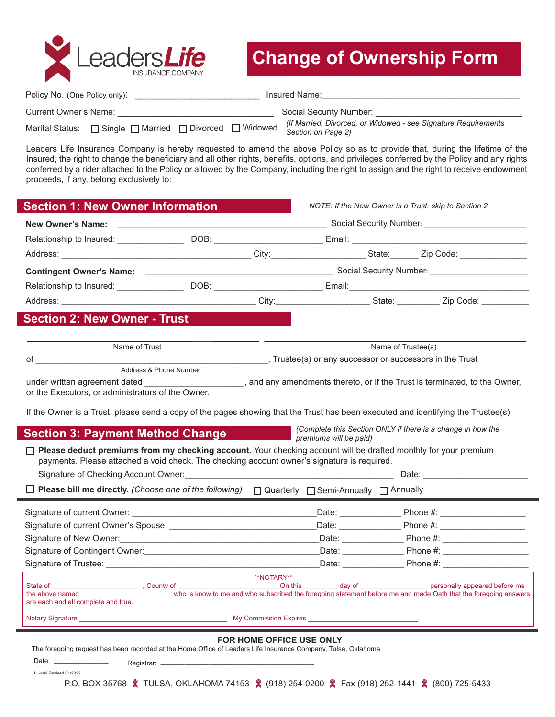

## **Change of Ownership Form**

| Policy No. (One Policy only): |                                                         |                         | Insured Name:                                                                         |
|-------------------------------|---------------------------------------------------------|-------------------------|---------------------------------------------------------------------------------------|
| Current Owner's Name:         |                                                         | Social Security Number: |                                                                                       |
|                               | Marital Status: □ Single □ Married □ Divorced □ Widowed |                         | (If Married, Divorced, or Widowed - see Signature Requirements)<br>Section on Page 2) |

Leaders Life Insurance Company is hereby requested to amend the above Policy so as to provide that, during the lifetime of the Insured, the right to change the beneficiary and all other rights, benefits, options, and privileges conferred by the Policy and any rights conferred by a rider attached to the Policy or allowed by the Company, including the right to assign and the right to receive endowment proceeds, if any, belong exclusively to:

| <b>New Owner's Name:</b>                                                                                                                                                                                                                                                                                       |                        | ____________________________________Social Security Number: ____________________ |                        |  |                                                                          |  |
|----------------------------------------------------------------------------------------------------------------------------------------------------------------------------------------------------------------------------------------------------------------------------------------------------------------|------------------------|----------------------------------------------------------------------------------|------------------------|--|--------------------------------------------------------------------------|--|
| Relationship to Insured: ___________________DOB: __________________________Email: ____________________________                                                                                                                                                                                                 |                        |                                                                                  |                        |  |                                                                          |  |
|                                                                                                                                                                                                                                                                                                                |                        |                                                                                  |                        |  |                                                                          |  |
|                                                                                                                                                                                                                                                                                                                |                        |                                                                                  |                        |  |                                                                          |  |
| Relationship to Insured: __________________DOB: ___________________________Email:_____________________________                                                                                                                                                                                                 |                        |                                                                                  |                        |  |                                                                          |  |
|                                                                                                                                                                                                                                                                                                                |                        |                                                                                  |                        |  |                                                                          |  |
| <b>Section 2: New Owner - Trust</b>                                                                                                                                                                                                                                                                            |                        |                                                                                  |                        |  |                                                                          |  |
| Name of Trust                                                                                                                                                                                                                                                                                                  |                        | Name of Trustee(s)                                                               |                        |  |                                                                          |  |
| of the control of the control of the control of the control of the control of the control of the control of th                                                                                                                                                                                                 | Address & Phone Number | Trustee(s) or any successor or successors in the Trust                           |                        |  |                                                                          |  |
| under written agreement dated<br>or the Executors, or administrators of the Owner.                                                                                                                                                                                                                             |                        |                                                                                  |                        |  | and any amendments thereto, or if the Trust is terminated, to the Owner, |  |
|                                                                                                                                                                                                                                                                                                                |                        |                                                                                  |                        |  |                                                                          |  |
| If the Owner is a Trust, please send a copy of the pages showing that the Trust has been executed and identifying the Trustee(s).                                                                                                                                                                              |                        |                                                                                  |                        |  | (Complete this Section ONLY if there is a change in how the              |  |
| Section 3: Payment Method Change                                                                                                                                                                                                                                                                               |                        |                                                                                  | premiums will be paid) |  |                                                                          |  |
|                                                                                                                                                                                                                                                                                                                |                        |                                                                                  |                        |  |                                                                          |  |
| $\Box$ Please deduct premiums from my checking account. Your checking account will be drafted monthly for your premium<br>payments. Please attached a void check. The checking account owner's signature is required.<br>Signature of Checking Account Owner: Network and Checking and Checking Account Owner: |                        |                                                                                  |                        |  |                                                                          |  |
|                                                                                                                                                                                                                                                                                                                |                        |                                                                                  |                        |  |                                                                          |  |
| $\Box$ Please bill me directly. (Choose one of the following) $\Box$ Quarterly $\Box$ Semi-Annually $\Box$ Annually                                                                                                                                                                                            |                        |                                                                                  |                        |  |                                                                          |  |
|                                                                                                                                                                                                                                                                                                                |                        |                                                                                  |                        |  |                                                                          |  |
|                                                                                                                                                                                                                                                                                                                |                        |                                                                                  |                        |  |                                                                          |  |
|                                                                                                                                                                                                                                                                                                                |                        |                                                                                  |                        |  |                                                                          |  |
|                                                                                                                                                                                                                                                                                                                |                        |                                                                                  |                        |  |                                                                          |  |